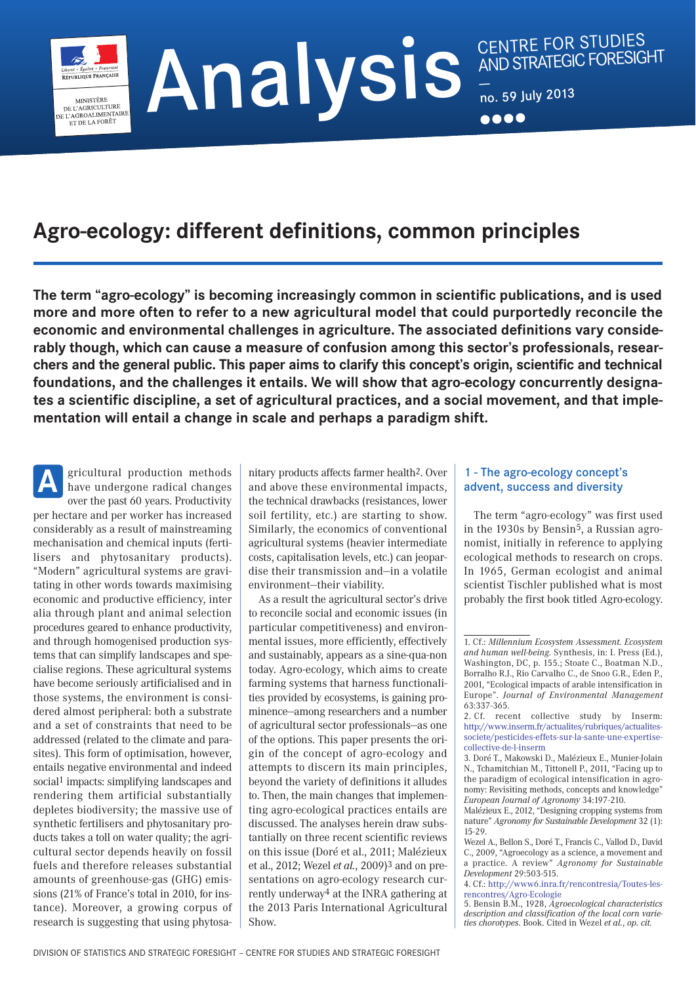**Agro-ecology: different definitions, common principles**

**The term "agro-ecology" is becoming increasingly common in scientific publications, and is used more and more often to refer to a new agricultural model that could purportedly reconcile the economic and environmental challenges in agriculture. The associated definitions vary considerably though, which can cause a measure of confusion among this sector's professionals, researchers and the general public. This paper aims to clarify this concept's origin, scientific and technical foundations, and the challenges it entails. We will show that agro-ecology concurrently designates a scientific discipline, a set of agricultural practices, and a social movement, and that implementation will entail a change in scale and perhaps a paradigm shift.**

gricultural production methods have undergone radical changes over the past 60 years. Productivity per hectare and per worker has increased considerably as a result of mainstreaming mechanisation and chemical inputs (fertilisers and phytosanitary products). "Modern" agricultural systems are gravitating in other words towards maximising economic and productive efficiency, inter alia through plant and animal selection procedures geared to enhance productivity, and through homogenised production systems that can simplify landscapes and specialise regions. These agricultural systems have become seriously artificialised and in those systems, the environment is considered almost peripheral: both a substrate and a set of constraints that need to be addressed (related to the climate and parasites). This form of optimisation, however, entails negative environmental and indeed social<sup>1</sup> impacts: simplifying landscapes and rendering them artificial substantially depletes biodiversity; the massive use of synthetic fertilisers and phytosanitary products takes a toll on water quality; the agricultural sector depends heavily on fossil fuels and therefore releases substantial amounts of greenhouse-gas (GHG) emissions (21% of France's total in 2010, for instance). Moreover, a growing corpus of research is suggesting that using phytosa-**A**

MINISTÈRE MINISTERE<br>DE L'AGRICULTURE<br>E L'AGROALIMENTAIRE<br>ET DE LA FORÊT

> nitary products affects farmer health2. Over and above these environmental impacts, the technical drawbacks (resistances, lower soil fertility, etc.) are starting to show. Similarly, the economics of conventional agricultural systems (heavier intermediate costs, capitalisation levels, etc.) can jeopardise their transmission and—in a volatile environment—their viability.

> As a result the agricultural sector's drive to reconcile social and economic issues (in particular competitiveness) and environmental issues, more efficiently, effectively and sustainably, appears as a sine-qua-non today. Agro-ecology, which aims to create farming systems that harness functionalities provided by ecosystems, is gaining prominence—among researchers and a number of agricultural sector professionals—as one of the options. This paper presents the origin of the concept of agro-ecology and attempts to discern its main principles, beyond the variety of definitions it alludes to. Then, the main changes that implementing agro-ecological practices entails are discussed. The analyses herein draw substantially on three recent scientific reviews on this issue (Doré et al., 2011; Malézieux et al., 2012; Wezel *et al.*, 2009)3 and on presentations on agro-ecology research currently underway4 at the INRA gathering at the 2013 Paris International Agricultural Show.

### 1 - The agro-ecology concept's advent, success and diversity

The term "agro-ecology" was first used in the 1930s by Bensin5, a Russian agronomist, initially in reference to applying ecological methods to research on crops. In 1965, German ecologist and animal scientist Tischler published what is most probably the first book titled Agro-ecology.

<sup>1.</sup> Cf.: *Millennium Ecosystem Assessment. Ecosystem and human well-being*. Synthesis, in: I. Press (Ed.), Washington, DC, p. 155.; Stoate C., Boatman N.D., Borralho R.J., Rio Carvalho C., de Snoo G.R., Eden P., 2001, "Ecological impacts of arable intensification in Europe". *Journal of Environmental Management* 63:337-365.

<sup>2.</sup> Cf. recent collective study by Inserm: [http://www.inserm.fr/actualites/rubriques/actualites](http://www.inserm.fr/actualites/rubriques/actualites-societe/pesticides-effets-sur-la-sante-une-expertise-collective-de-l-inserm)[societe/pesticides-effets-sur-la-sante-une-expertise](http://www.inserm.fr/actualites/rubriques/actualites-societe/pesticides-effets-sur-la-sante-une-expertise-collective-de-l-inserm)[collective-de-l-inserm](http://www.inserm.fr/actualites/rubriques/actualites-societe/pesticides-effets-sur-la-sante-une-expertise-collective-de-l-inserm)

<sup>3.</sup> Doré T., Makowski D., Malézieux E., Munier-Jolain N., Tchamitchian M., Tittonell P., 2011, "Facing up to the paradigm of ecological intensification in agronomy: Revisiting methods, concepts and knowledge" *European Journal of Agronomy* 34:197-210.

Malézieux E., 2012, "Designing cropping systems from nature" *Agronomy for Sustainable Development* 32 (1): 15-29.

Wezel A., Bellon S., Doré T., Francis C., Vallod D., David C., 2009, "Agroecology as a science, a movement and a practice. A review" *Agronomy for Sustainable Development* 29:503-515.

<sup>4.</sup> Cf.: [http://www6.inra.fr/rencontresia/Toutes-les](http://www6.inra.fr/rencontresia/Toutes-les-rencontres/Agro-Ecologie)[rencontres/Agro-Ecologie](http://www6.inra.fr/rencontresia/Toutes-les-rencontres/Agro-Ecologie)

<sup>5.</sup> Bensin B.M., 1928, *Agroecological characteristics description and classification of the local corn varieties chorotypes*. Book. Cited in Wezel *et al.*, *op. cit.*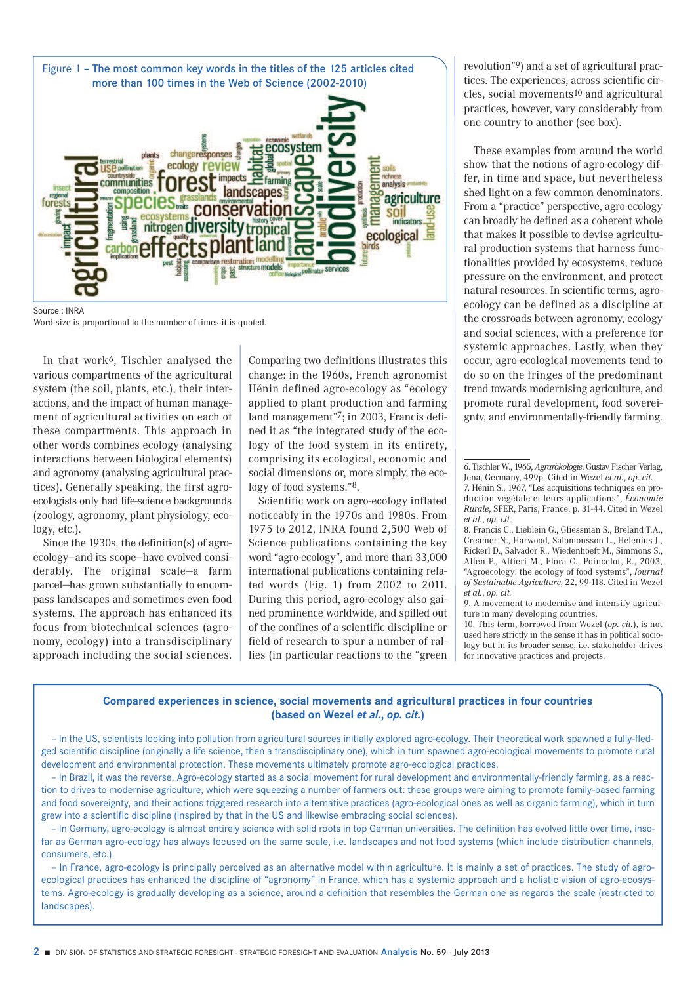

Word size is proportional to the number of times it is quoted.

In that work6, Tischler analysed the various compartments of the agricultural system (the soil, plants, etc.), their interactions, and the impact of human management of agricultural activities on each of these compartments. This approach in other words combines ecology (analysing interactions between biological elements) and agronomy (analysing agricultural practices). Generally speaking, the first agroecologists only had life-science backgrounds (zoology, agronomy, plant physiology, ecology, etc.).

Since the 1930s, the definition(s) of agroecology—and its scope—have evolved considerably. The original scale—a farm parcel—has grown substantially to encompass landscapes and sometimes even food systems. The approach has enhanced its focus from biotechnical sciences (agronomy, ecology) into a transdisciplinary approach including the social sciences. Comparing two definitions illustrates this change: in the 1960s, French agronomist Hénin defined agro-ecology as "ecology applied to plant production and farming land management"7; in 2003, Francis defined it as "the integrated study of the ecology of the food system in its entirety, comprising its ecological, economic and social dimensions or, more simply, the ecology of food systems."8.

Scientific work on agro-ecology inflated noticeably in the 1970s and 1980s. From 1975 to 2012, INRA found 2,500 Web of Science publications containing the key word "agro-ecology", and more than 33,000 international publications containing related words (Fig. 1) from 2002 to 2011. During this period, agro-ecology also gained prominence worldwide, and spilled out of the confines of a scientific discipline or field of research to spur a number of rallies (in particular reactions to the "green revolution"9) and a set of agricultural practices. The experiences, across scientific circles, social movements10 and agricultural practices, however, vary considerably from one country to another (see box).

These examples from around the world show that the notions of agro-ecology differ, in time and space, but nevertheless shed light on a few common denominators. From a "practice" perspective, agro-ecology can broadly be defined as a coherent whole that makes it possible to devise agricultural production systems that harness functionalities provided by ecosystems, reduce pressure on the environment, and protect natural resources. In scientific terms, agroecology can be defined as a discipline at the crossroads between agronomy, ecology and social sciences, with a preference for systemic approaches. Lastly, when they occur, agro-ecological movements tend to do so on the fringes of the predominant trend towards modernising agriculture, and promote rural development, food sovereignty, and environmentally-friendly farming.

10. This term, borrowed from Wezel (*op. cit.*), is not used here strictly in the sense it has in political sociology but in its broader sense, i.e. stakeholder drives for innovative practices and projects.

### **Compared experiences in science, social movements and agricultural practices in four countries (based on Wezel** *et al.***,** *op. cit.***)**

– In the US, scientists looking into pollution from agricultural sources initially explored agro-ecology. Their theoretical work spawned a fully-fledged scientific discipline (originally a life science, then a transdisciplinary one), which in turn spawned agro-ecological movements to promote rural development and environmental protection. These movements ultimately promote agro-ecological practices.

– In Brazil, it was the reverse. Agro-ecology started as a social movement for rural development and environmentally-friendly farming, as a reaction to drives to modernise agriculture, which were squeezing a number of farmers out: these groups were aiming to promote family-based farming and food sovereignty, and their actions triggered research into alternative practices (agro-ecological ones as well as organic farming), which in turn grew into a scientific discipline (inspired by that in the US and likewise embracing social sciences).

– In Germany, agro-ecology is almost entirely science with solid roots in top German universities. The definition has evolved little over time, insofar as German agro-ecology has always focused on the same scale, i.e. landscapes and not food systems (which include distribution channels, consumers, etc.).

– In France, agro-ecology is principally perceived as an alternative model within agriculture. It is mainly a set of practices. The study of agroecological practices has enhanced the discipline of "agronomy" in France, which has a systemic approach and a holistic vision of agro-ecosystems. Agro-ecology is gradually developing as a science, around a definition that resembles the German one as regards the scale (restricted to landscapes).

<sup>6.</sup> Tischler W., 1965, *Agrarökologie*. Gustav Fischer Verlag, Jena, Germany, 499p. Cited in Wezel *et al.*, *op. cit.*

<sup>7.</sup> Hénin S., 1967, "Les acquisitions techniques en production végétale et leurs applications", *Économie Rurale*, SFER, Paris, France, p. 31-44. Cited in Wezel *et al.*, *op. cit.*

<sup>8.</sup> Francis C., Lieblein G., Gliessman S., Breland T.A., Creamer N., Harwood, Salomonsson L., Helenius J., Rickerl D., Salvador R., Wiedenhoeft M., Simmons S., Allen P., Altieri M., Flora C., Poincelot, R., 2003, "Agroecology: the ecology of food systems", *Journal of Sustainable Agriculture*, 22, 99-118. Cited in Wezel *et al.*, *op. cit.*

<sup>9.</sup> A movement to modernise and intensify agriculture in many developing countries.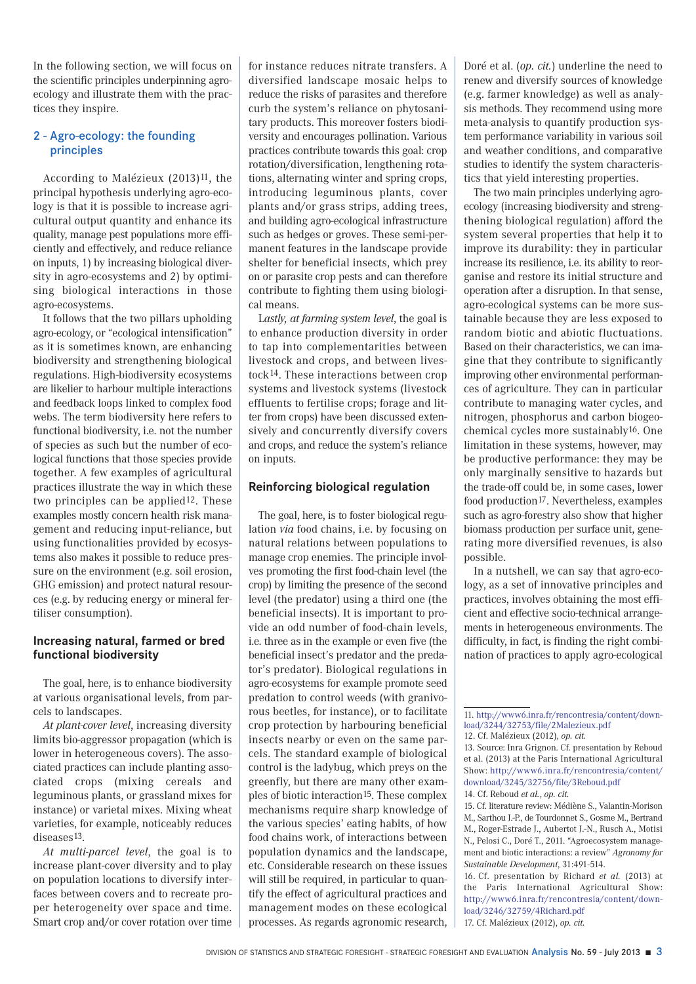In the following section, we will focus on the scientific principles underpinning agroecology and illustrate them with the practices they inspire.

# 2 - Agro-ecology: the founding principles

According to Malézieux (2013)11, the principal hypothesis underlying agro-ecology is that it is possible to increase agricultural output quantity and enhance its quality, manage pest populations more efficiently and effectively, and reduce reliance on inputs, 1) by increasing biological diversity in agro-ecosystems and 2) by optimising biological interactions in those agro-ecosystems.

It follows that the two pillars upholding agro-ecology, or "ecological intensification" as it is sometimes known, are enhancing biodiversity and strengthening biological regulations. High-biodiversity ecosystems are likelier to harbour multiple interactions and feedback loops linked to complex food webs. The term biodiversity here refers to functional biodiversity, i.e. not the number of species as such but the number of ecological functions that those species provide together. A few examples of agricultural practices illustrate the way in which these two principles can be applied<sup>12</sup>. These examples mostly concern health risk management and reducing input-reliance, but using functionalities provided by ecosystems also makes it possible to reduce pressure on the environment (e.g. soil erosion, GHG emission) and protect natural resources (e.g. by reducing energy or mineral fertiliser consumption).

# **Increasing natural, farmed or bred functional biodiversity**

The goal, here, is to enhance biodiversity at various organisational levels, from parcels to landscapes.

*At plant-cover level*, increasing diversity limits bio-aggressor propagation (which is lower in heterogeneous covers). The associated practices can include planting associated crops (mixing cereals and leguminous plants, or grassland mixes for instance) or varietal mixes. Mixing wheat varieties, for example, noticeably reduces diseases<sup>13</sup>

*At multi-parcel level*, the goal is to increase plant-cover diversity and to play on population locations to diversify interfaces between covers and to recreate proper heterogeneity over space and time. Smart crop and/or cover rotation over time for instance reduces nitrate transfers. A diversified landscape mosaic helps to reduce the risks of parasites and therefore curb the system's reliance on phytosanitary products. This moreover fosters biodiversity and encourages pollination. Various practices contribute towards this goal: crop rotation/diversification, lengthening rotations, alternating winter and spring crops, introducing leguminous plants, cover plants and/or grass strips, adding trees, and building agro-ecological infrastructure such as hedges or groves. These semi-permanent features in the landscape provide shelter for beneficial insects, which prey on or parasite crop pests and can therefore contribute to fighting them using biological means.

L*astly, at farming system level*, the goal is to enhance production diversity in order to tap into complementarities between livestock and crops, and between livestock14. These interactions between crop systems and livestock systems (livestock effluents to fertilise crops; forage and litter from crops) have been discussed extensively and concurrently diversify covers and crops, and reduce the system's reliance on inputs.

# **Reinforcing biological regulation**

The goal, here, is to foster biological regulation *via* food chains, i.e. by focusing on natural relations between populations to manage crop enemies. The principle involves promoting the first food-chain level (the crop) by limiting the presence of the second level (the predator) using a third one (the beneficial insects). It is important to provide an odd number of food-chain levels, i.e. three as in the example or even five (the beneficial insect's predator and the predator's predator). Biological regulations in agro-ecosystems for example promote seed predation to control weeds (with granivorous beetles, for instance), or to facilitate crop protection by harbouring beneficial insects nearby or even on the same parcels. The standard example of biological control is the ladybug, which preys on the greenfly, but there are many other examples of biotic interaction15. These complex mechanisms require sharp knowledge of the various species' eating habits, of how food chains work, of interactions between population dynamics and the landscape, etc. Considerable research on these issues will still be required, in particular to quantify the effect of agricultural practices and management modes on these ecological processes. As regards agronomic research, Doré et al. (*op. cit.*) underline the need to renew and diversify sources of knowledge (e.g. farmer knowledge) as well as analysis methods. They recommend using more meta-analysis to quantify production system performance variability in various soil and weather conditions, and comparative studies to identify the system characteristics that yield interesting properties.

The two main principles underlying agroecology (increasing biodiversity and strengthening biological regulation) afford the system several properties that help it to improve its durability: they in particular increase its resilience, i.e. its ability to reorganise and restore its initial structure and operation after a disruption. In that sense, agro-ecological systems can be more sustainable because they are less exposed to random biotic and abiotic fluctuations. Based on their characteristics, we can imagine that they contribute to significantly improving other environmental performances of agriculture. They can in particular contribute to managing water cycles, and nitrogen, phosphorus and carbon biogeochemical cycles more sustainably16. One limitation in these systems, however, may be productive performance: they may be only marginally sensitive to hazards but the trade-off could be, in some cases, lower food production<sup>17</sup>. Nevertheless, examples such as agro-forestry also show that higher biomass production per surface unit, generating more diversified revenues, is also possible.

In a nutshell, we can say that agro-ecology, as a set of innovative principles and practices, involves obtaining the most efficient and effective socio-technical arrangements in heterogeneous environments. The difficulty, in fact, is finding the right combination of practices to apply agro-ecological

15. Cf. literature review: Médiène S., Valantin-Morison M., Sarthou J.-P., de Tourdonnet S., Gosme M., Bertrand M., Roger-Estrade J., Aubertot J.-N., Rusch A., Motisi N., Pelosi C., Doré T., 2011. "Agroecosystem management and biotic interactions: a review" *Agronomy for Sustainable Development*, 31:491-514.

16. Cf. presentation by Richard *et al.* (2013) at the Paris International Agricultural Show: [http://www6.inra.fr/rencontresia/content/down](http://www6.inra.fr/rencontresia/content/download/3246/32759/4Richard.pdf)[load/3246/32759/4Richard.pdf](http://www6.inra.fr/rencontresia/content/download/3246/32759/4Richard.pdf) 17. Cf. Malézieux (2012), *op. cit.*

<sup>11.</sup> [http://www6.inra.fr/rencontresia/content/down](http://www6.inra.fr/rencontresia/content/download/3244/32753/file/2Malezieux.pdf)[load/3244/32753/file/2Malezieux.pdf](http://www6.inra.fr/rencontresia/content/download/3244/32753/file/2Malezieux.pdf) 12. Cf. Malézieux (2012), *op. cit.*

<sup>13.</sup> Source: Inra Grignon. Cf. presentation by Reboud

et al. (2013) at the Paris International Agricultural Show: [http://www6.inra.fr/rencontresia/content/](http://www6.inra.fr/rencontresia/content/download/3245/32756/file/3Reboud.pdf) [download/3245/32756/file/3Reboud.pdf](http://www6.inra.fr/rencontresia/content/download/3245/32756/file/3Reboud.pdf) 14. Cf. Reboud *et al.*, *op. cit.*